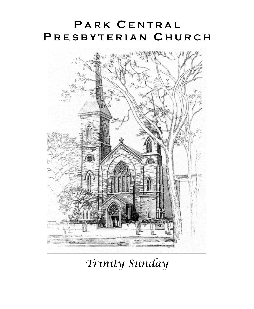# **P A R K C E N T R A L P R E S B Y T E R I A N C H U R C H**



*Trinity Sunday*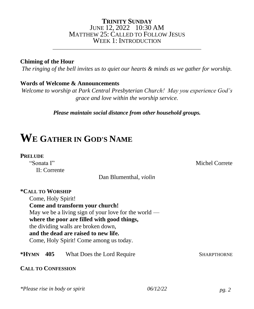### **TRINITY SUNDAY** JUNE 12, 2022 10:30 AM MATTHEW 25: CALLED TO FOLLOW JESUS WEEK 1: INTRODUCTION

\_\_\_\_\_\_\_\_\_\_\_\_\_\_\_\_\_\_\_\_\_\_\_\_\_\_\_\_\_\_\_\_\_\_\_\_\_\_\_\_\_\_\_\_\_\_\_\_\_\_\_\_\_\_\_\_\_\_\_

### **Chiming of the Hour**

*The ringing of the bell invites us to quiet our hearts & minds as we gather for worship.*

## **Words of Welcome & Announcements**

*Welcome to worship at Park Central Presbyterian Church! May you experience God's grace and love within the worship service.*

*Please maintain social distance from other household groups.*

# **W<sup>E</sup> GATHER IN GOD'S NAME**

### **PRELUDE**

II: Corrente

"Sonata I" Michel Correte

Dan Blumenthal, *violin*

| <i><b>*CALL TO WORSHIP</b></i><br>Come, Holy Spirit!   |                    |  |  |  |
|--------------------------------------------------------|--------------------|--|--|--|
| Come and transform your church!                        |                    |  |  |  |
| May we be a living sign of your love for the world $-$ |                    |  |  |  |
| where the poor are filled with good things,            |                    |  |  |  |
| the dividing walls are broken down,                    |                    |  |  |  |
| and the dead are raised to new life.                   |                    |  |  |  |
| Come, Holy Spirit! Come among us today.                |                    |  |  |  |
|                                                        |                    |  |  |  |
| *Hymn<br>405<br>What Does the Lord Require             | <b>SHARPTHORNE</b> |  |  |  |
|                                                        |                    |  |  |  |
| <b>CALL TO CONFESSION</b>                              |                    |  |  |  |
|                                                        |                    |  |  |  |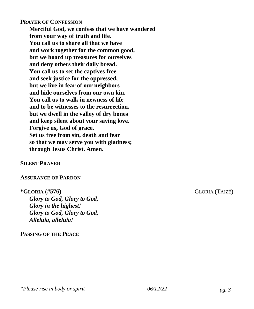### **PRAYER OF CONFESSION**

**Merciful God, we confess that we have wandered from your way of truth and life. You call us to share all that we have and work together for the common good, but we hoard up treasures for ourselves and deny others their daily bread. You call us to set the captives free and seek justice for the oppressed, but we live in fear of our neighbors and hide ourselves from our own kin. You call us to walk in newness of life and to be witnesses to the resurrection, but we dwell in the valley of dry bones and keep silent about your saving love. Forgive us, God of grace. Set us free from sin, death and fear so that we may serve you with gladness; through Jesus Christ. Amen.**

### **SILENT PRAYER**

### **ASSURANCE OF PARDON**

*Glory to God, Glory to God, Glory in the highest! Glory to God, Glory to God, Alleluia, alleluia!*

### **PASSING OF THE PEACE**

**\*GLORIA (#576)** GLORIA (TAIZÉ)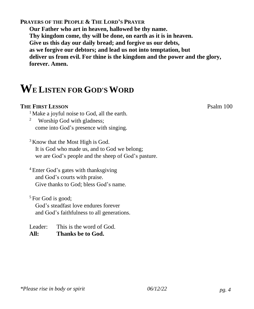**PRAYERS OF THE PEOPLE & THE LORD'S PRAYER**

**Our Father who art in heaven, hallowed be thy name. Thy kingdom come, thy will be done, on earth as it is in heaven. Give us this day our daily bread; and forgive us our debts, as we forgive our debtors; and lead us not into temptation, but deliver us from evil. For thine is the kingdom and the power and the glory, forever. Amen.**

# **WE LISTEN FOR GOD'SWORD**

## **THE FIRST LESSON** Psalm 100

<sup>1</sup> Make a joyful noise to God, all the earth.

<sup>2</sup> Worship God with gladness; come into God's presence with singing.

<sup>3</sup> Know that the Most High is God. It is God who made us, and to God we belong; we are God's people and the sheep of God's pasture.

<sup>4</sup> Enter God's gates with thanksgiving and God's courts with praise. Give thanks to God; bless God's name.

<sup>5</sup> For God is good; God's steadfast love endures forever and God's faithfulness to all generations.

Leader: This is the word of God. **All: Thanks be to God.**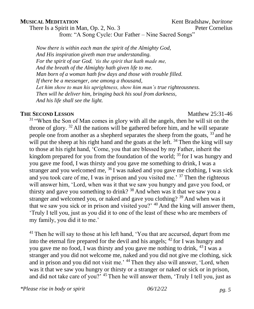**MUSICAL MEDITATION**<br>
There Is a Spirit in Man. Op. 2, No. 3<br>
Peter Cornelius

There Is a Spirit in Man, Op.  $2$ , No.  $3$ from: "A Song Cycle: Our Father – Nine Sacred Songs"

*Now there is within each man the spirit of the Almighty God, And His inspiration giveth man true understanding. For the spirit of our God, 'tis the spirit that hath made me, And the breath of the Almighty hath given life to me. Man born of a woman hath few days and those with trouble filled. If there be a messenger, one among a thousand, Let him show to man his uprightness, show him man's true righteousness. Then will he deliver him, bringing back his soul from darkness, And his life shall see the light.*

### **THE SECOND LESSON** Matthew 25:31-46

<sup>31</sup> "When the Son of Man comes in glory with all the angels, then he will sit on the throne of glory.  $32$  All the nations will be gathered before him, and he will separate people one from another as a shepherd separates the sheep from the goats, <sup>33</sup> and he will put the sheep at his right hand and the goats at the left.  $34$  Then the king will say to those at his right hand, 'Come, you that are blessed by my Father, inherit the kingdom prepared for you from the foundation of the world; <sup>35</sup> for I was hungry and you gave me food, I was thirsty and you gave me something to drink, I was a stranger and you welcomed me,  $36$  I was naked and you gave me clothing, I was sick and you took care of me, I was in prison and you visited me.' <sup>37</sup> Then the righteous will answer him, 'Lord, when was it that we saw you hungry and gave you food, or thirsty and gave you something to drink? <sup>38</sup> And when was it that we saw you a stranger and welcomed you, or naked and gave you clothing? <sup>39</sup> And when was it that we saw you sick or in prison and visited you?'  $40$  And the king will answer them, 'Truly I tell you, just as you did it to one of the least of these who are members of my family, you did it to me.'

<sup>41</sup> Then he will say to those at his left hand, 'You that are accursed, depart from me into the eternal fire prepared for the devil and his angels;  $^{42}$  for I was hungry and you gave me no food, I was thirsty and you gave me nothing to drink, <sup>43</sup> I was a stranger and you did not welcome me, naked and you did not give me clothing, sick and in prison and you did not visit me.<sup>44</sup> Then they also will answer, 'Lord, when was it that we saw you hungry or thirsty or a stranger or naked or sick or in prison, and did not take care of you?' <sup>45</sup> Then he will answer them, 'Truly I tell you, just as

*\*Please rise in body or spirit 06/12/22 pg. 5*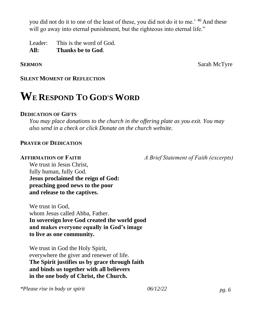you did not do it to one of the least of these, you did not do it to me.' <sup>46</sup> And these will go away into eternal punishment, but the righteous into eternal life."

Leader: This is the word of God. **All: Thanks be to God**.

**SERMON** Sarah McTyre

## **SILENT MOMENT OF REFLECTION**

# **WE RESPOND TO GOD'S WORD**

### **DEDICATION OF GIFTS**

*You may place donations to the church in the offering plate as you exit. You may also send in a check or click Donate on the church website.*

## **PRAYER OF DEDICATION**

**AFFIRMATION OF FAITH** *A Brief Statement of Faith (excerpts)* 

We trust in Jesus Christ, fully human, fully God. **Jesus proclaimed the reign of God: preaching good news to the poor and release to the captives.** 

We trust in God, whom Jesus called Abba, Father. **In sovereign love God created the world good and makes everyone equally in God's image to live as one community.** 

We trust in God the Holy Spirit, everywhere the giver and renewer of life. **The Spirit justifies us by grace through faith and binds us together with all believers in the one body of Christ, the Church.**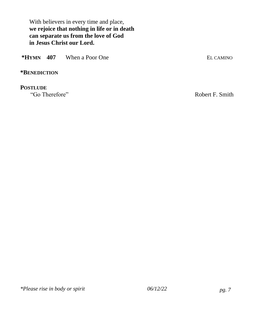With believers in every time and place, **we rejoice that nothing in life or in death can separate us from the love of God in Jesus Christ our Lord.** 

| *Hymn 407 | When a Poor One | EL CAMINO |
|-----------|-----------------|-----------|
|           |                 |           |

## **\*BENEDICTION**

**POSTLUDE**<br>"Go Therefore"

Robert F. Smith